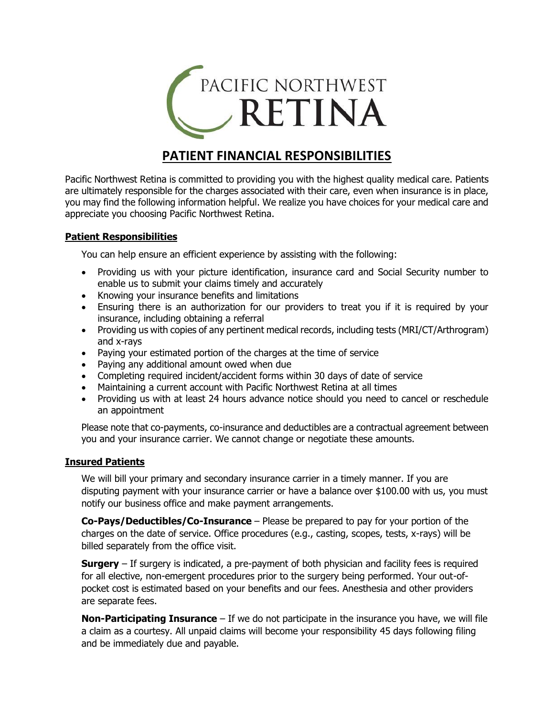

# **PATIENT FINANCIAL RESPONSIBILITIES**

Pacific Northwest Retina is committed to providing you with the highest quality medical care. Patients are ultimately responsible for the charges associated with their care, even when insurance is in place, you may find the following information helpful. We realize you have choices for your medical care and appreciate you choosing Pacific Northwest Retina.

## **Patient Responsibilities**

You can help ensure an efficient experience by assisting with the following:

- Providing us with your picture identification, insurance card and Social Security number to enable us to submit your claims timely and accurately
- Knowing your insurance benefits and limitations
- Ensuring there is an authorization for our providers to treat you if it is required by your insurance, including obtaining a referral
- Providing us with copies of any pertinent medical records, including tests (MRI/CT/Arthrogram) and x-rays
- Paying your estimated portion of the charges at the time of service
- Paying any additional amount owed when due
- Completing required incident/accident forms within 30 days of date of service
- Maintaining a current account with Pacific Northwest Retina at all times
- Providing us with at least 24 hours advance notice should you need to cancel or reschedule an appointment

Please note that co-payments, co-insurance and deductibles are a contractual agreement between you and your insurance carrier. We cannot change or negotiate these amounts.

#### **Insured Patients**

We will bill your primary and secondary insurance carrier in a timely manner. If you are disputing payment with your insurance carrier or have a balance over \$100.00 with us, you must notify our business office and make payment arrangements.

**Co-Pays/Deductibles/Co-Insurance** – Please be prepared to pay for your portion of the charges on the date of service. Office procedures (e.g., casting, scopes, tests, x-rays) will be billed separately from the office visit.

**Surgery** – If surgery is indicated, a pre-payment of both physician and facility fees is required for all elective, non-emergent procedures prior to the surgery being performed. Your out-ofpocket cost is estimated based on your benefits and our fees. Anesthesia and other providers are separate fees.

**Non-Participating Insurance** – If we do not participate in the insurance you have, we will file a claim as a courtesy. All unpaid claims will become your responsibility 45 days following filing and be immediately due and payable.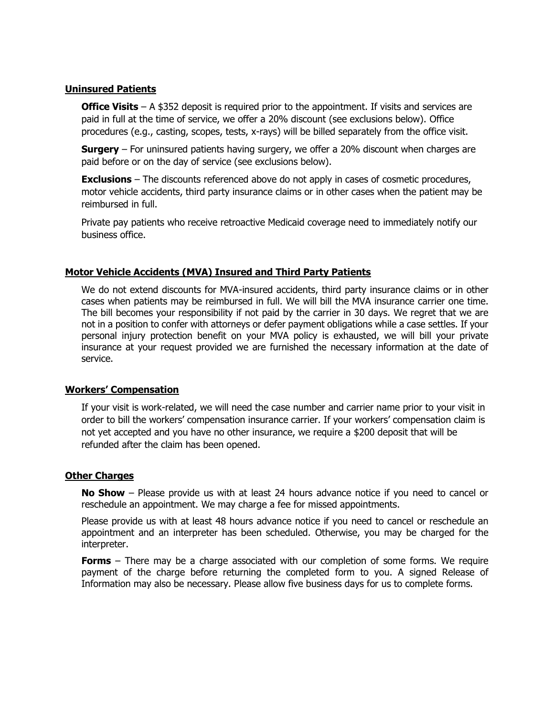## **Uninsured Patients**

**Office Visits** – A \$352 deposit is required prior to the appointment. If visits and services are paid in full at the time of service, we offer a 20% discount (see exclusions below). Office procedures (e.g., casting, scopes, tests, x-rays) will be billed separately from the office visit.

**Surgery** – For uninsured patients having surgery, we offer a 20% discount when charges are paid before or on the day of service (see exclusions below).

**Exclusions** – The discounts referenced above do not apply in cases of cosmetic procedures, motor vehicle accidents, third party insurance claims or in other cases when the patient may be reimbursed in full.

Private pay patients who receive retroactive Medicaid coverage need to immediately notify our business office.

## **Motor Vehicle Accidents (MVA) Insured and Third Party Patients**

We do not extend discounts for MVA-insured accidents, third party insurance claims or in other cases when patients may be reimbursed in full. We will bill the MVA insurance carrier one time. The bill becomes your responsibility if not paid by the carrier in 30 days. We regret that we are not in a position to confer with attorneys or defer payment obligations while a case settles. If your personal injury protection benefit on your MVA policy is exhausted, we will bill your private insurance at your request provided we are furnished the necessary information at the date of service.

#### **Workers' Compensation**

If your visit is work-related, we will need the case number and carrier name prior to your visit in order to bill the workers' compensation insurance carrier. If your workers' compensation claim is not yet accepted and you have no other insurance, we require a \$200 deposit that will be refunded after the claim has been opened.

#### **Other Charges**

**No Show** – Please provide us with at least 24 hours advance notice if you need to cancel or reschedule an appointment. We may charge a fee for missed appointments.

Please provide us with at least 48 hours advance notice if you need to cancel or reschedule an appointment and an interpreter has been scheduled. Otherwise, you may be charged for the interpreter.

**Forms** – There may be a charge associated with our completion of some forms. We require payment of the charge before returning the completed form to you. A signed Release of Information may also be necessary. Please allow five business days for us to complete forms.